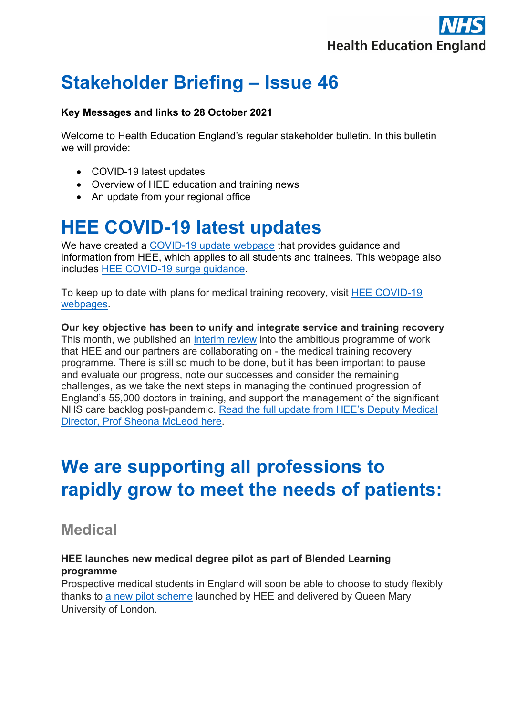

# **Stakeholder Briefing – Issue 46**

#### **Key Messages and links to 28 October 2021**

Welcome to Health Education England's regular stakeholder bulletin. In this bulletin we will provide:

- COVID-19 latest updates
- Overview of HEE education and training news
- An update from your regional office

## **HEE COVID-19 latest updates**

We have created a [COVID-19 update webpage](https://www.hee.nhs.uk/covid-19/covid-19-updates-all-professions-october-2020-onwards) that provides guidance and information from HEE, which applies to all students and trainees. This webpage also includes [HEE COVID-19 surge guidance.](https://www.hee.nhs.uk/covid-19/covid-19-updates-all-professions-october-2020-onwards)

To keep up to date with plans for medical training recovery, visit [HEE COVID-19](https://www.hee.nhs.uk/covid-19/training-recovery-support)  [webpages.](https://www.hee.nhs.uk/covid-19/training-recovery-support)

**Our key objective has been to unify and integrate service and training recovery** This month, we published an [interim review](https://www.hee.nhs.uk/sites/default/files/documents/C-19_Recovery_Sept21_Final.pdf) into the ambitious programme of work that HEE and our partners are collaborating on - the medical training recovery programme. There is still so much to be done, but it has been important to pause and evaluate our progress, note our successes and consider the remaining challenges, as we take the next steps in managing the continued progression of England's 55,000 doctors in training, and support the management of the significant NHS care backlog post-pandemic. [Read the full update from HEE's Deputy Medical](https://healtheducationengland.sharepoint.com/Comms/Digital/Shared%20Documents/Forms/AllItems.aspx?id=%2FComms%2FDigital%2FShared%20Documents%2Fhee%2Enhs%2Euk%20documents%2FWebsite%20files%2FCovid19%2FRecovery%2FStakeholder%20briefings%2FTraining%20Recovery%20Update%20141021%20v1%2Epdf&parent=%2FComms%2FDigital%2FShared%20Documents%2Fhee%2Enhs%2Euk%20documents%2FWebsite%20files%2FCovid19%2FRecovery%2FStakeholder%20briefings&p=true&originalPath=aHR0cHM6Ly9oZWFsdGhlZHVjYXRpb25lbmdsYW5kLnNoYXJlcG9pbnQuY29tLzpiOi9nL0NvbW1zL0RpZ2l0YWwvRVRvSml1YXJiMlZNamE4QmlqY3NJb2dCZk9pQV9qYk5NYmNsdGktMmpFTWJHQT9ydGltZT10dmhxTFg2WjJVZw)  [Director, Prof Sheona McLeod here.](https://healtheducationengland.sharepoint.com/Comms/Digital/Shared%20Documents/Forms/AllItems.aspx?id=%2FComms%2FDigital%2FShared%20Documents%2Fhee%2Enhs%2Euk%20documents%2FWebsite%20files%2FCovid19%2FRecovery%2FStakeholder%20briefings%2FTraining%20Recovery%20Update%20141021%20v1%2Epdf&parent=%2FComms%2FDigital%2FShared%20Documents%2Fhee%2Enhs%2Euk%20documents%2FWebsite%20files%2FCovid19%2FRecovery%2FStakeholder%20briefings&p=true&originalPath=aHR0cHM6Ly9oZWFsdGhlZHVjYXRpb25lbmdsYW5kLnNoYXJlcG9pbnQuY29tLzpiOi9nL0NvbW1zL0RpZ2l0YWwvRVRvSml1YXJiMlZNamE4QmlqY3NJb2dCZk9pQV9qYk5NYmNsdGktMmpFTWJHQT9ydGltZT10dmhxTFg2WjJVZw)

# **We are supporting all professions to rapidly grow to meet the needs of patients:**

### **Medical**

#### **HEE launches new medical degree pilot as part of Blended Learning programme**

Prospective medical students in England will soon be able to choose to study flexibly thanks to [a new pilot scheme](https://www.hee.nhs.uk/news-blogs-events/news/health-education-england-launches-new-medical-degree-pilot-part-blended-learning-programme) launched by HEE and delivered by Queen Mary University of London.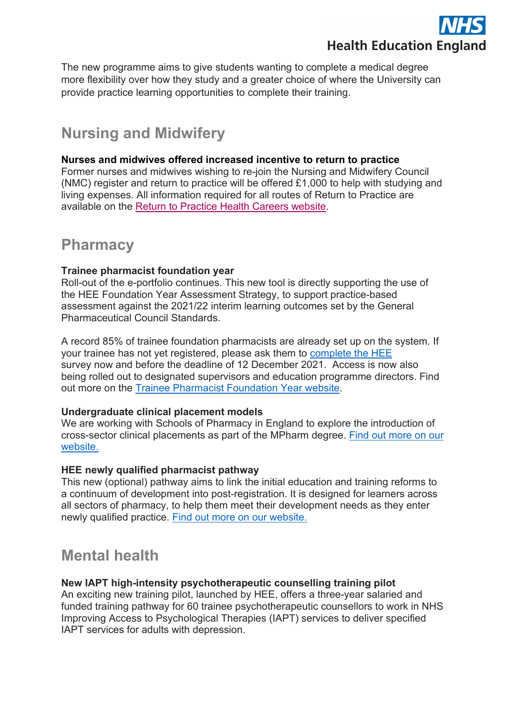

The new programme aims to give students wanting to complete a medical degree more flexibility over how they study and a greater choice of where the University can provide practice learning opportunities to complete their training.

## **Nursing and Midwifery**

#### **Nurses and midwives offered increased incentive to return to practice**

Former nurses and midwives wishing to re-join the Nursing and Midwifery Council (NMC) register and return to practice will be offered £1,000 to help with studying and living expenses. All information required for all routes of Return to Practice are available on the [Return to Practice Health Careers website.](https://www.healthcareers.nhs.uk/explore-roles/nursing/returning-nursing/returning-nursing/return-nursing-practice-programme/return-nursing-practice-programme)

### **Pharmacy**

#### **Trainee pharmacist foundation year**

Roll-out of the e-portfolio continues. This new tool is directly supporting the use of the HEE Foundation Year Assessment Strategy, to support practice-based assessment against the 2021/22 interim learning outcomes set by the General Pharmaceutical Council Standards.

A record 85% of trainee foundation pharmacists are already set up on the system. If your trainee has not yet registered, please ask them to [complete the HEE](https://healtheducationyh.onlinesurveys.ac.uk/trainee-pharmacist-hee-e-portfolio-data-collection-2021v2) survey now and before the deadline of 12 December 2021. Access is now also being rolled out to designated supervisors and education programme directors. Find out more on the [Trainee Pharmacist Foundation Year website.](https://www.hee.nhs.uk/our-work/pharmacy/trainee-pharmacist-foundation-year-programme/e-portfolio-downloadable-resources)

#### **Undergraduate clinical placement models**

We are working with Schools of Pharmacy in England to explore the introduction of cross-sector clinical placements as part of the MPharm degree. [Find out more on our](https://www.hee.nhs.uk/our-work/pharmacy/initial-education-training-pharmacists-reform-programme/undergraduate-clinical-placement-models?utm_campaign=%7B%7EmessageName%7E%7D&utm_source=emailCampaign&utm_content=%7B%7EmailVariationId%7E%7D&utm_medium=email)  [website.](https://www.hee.nhs.uk/our-work/pharmacy/initial-education-training-pharmacists-reform-programme/undergraduate-clinical-placement-models?utm_campaign=%7B%7EmessageName%7E%7D&utm_source=emailCampaign&utm_content=%7B%7EmailVariationId%7E%7D&utm_medium=email)

#### **HEE newly qualified pharmacist pathway**

This new (optional) pathway aims to link the initial education and training reforms to a continuum of development into post-registration. It is designed for learners across all sectors of pharmacy, to help them meet their development needs as they enter newly qualified practice. [Find out more on our website.](https://www.hee.nhs.uk/our-work/pharmacy/initial-education-training-pharmacists-reform-programme/newly-qualified-pharmacist-pathway)

## **Mental health**

#### **New IAPT high-intensity psychotherapeutic counselling training pilot**

An exciting new training pilot, launched by HEE, offers a three-year salaried and funded training pathway for 60 trainee psychotherapeutic counsellors to work in NHS Improving Access to Psychological Therapies (IAPT) services to deliver specified IAPT services for adults with depression.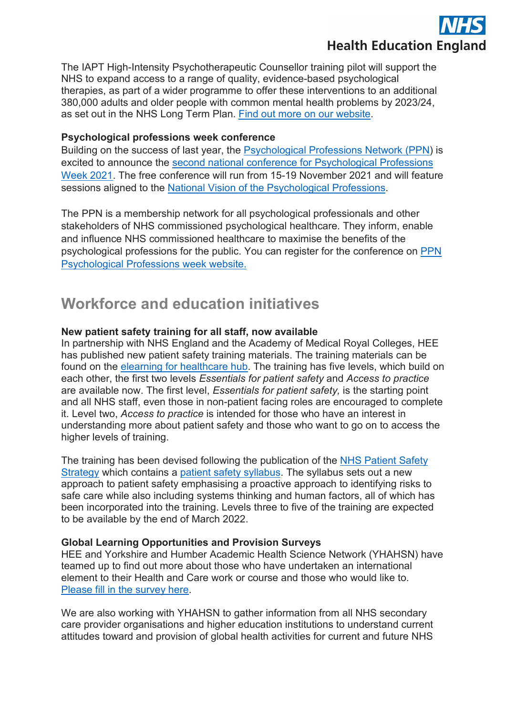

The IAPT High-Intensity Psychotherapeutic Counsellor training pilot will support the NHS to expand access to a range of quality, evidence-based psychological therapies, as part of a wider programme to offer these interventions to an additional 380,000 adults and older people with common mental health problems by 2023/24, as set out in the NHS Long Term Plan. [Find out more on our website.](https://www.hee.nhs.uk/news-blogs-events/news/new-iapt-high-intensity-psychotherapeutic-counselling-training-pilot)

#### **Psychological professions week conference**

Building on the success of last year, the [Psychological Professions Network \(PPN\)](https://www.ppn.nhs.uk/) is excited to announce the [second national conference for Psychological Professions](https://ppn2021.com/)  [Week 2021.](https://ppn2021.com/) The free conference will run from 15-19 November 2021 and will feature sessions aligned to the [National Vision of the Psychological Professions.](https://www.ppn.nhs.uk/resources/ppn-publications/41-national-vision-for-psychological-professions/file)

The PPN is a membership network for all psychological professionals and other stakeholders of NHS commissioned psychological healthcare. They inform, enable and influence NHS commissioned healthcare to maximise the benefits of the psychological professions for the public. You can register for the conference on [PPN](https://ppn2021.com/users/register)  [Psychological Professions week website.](https://ppn2021.com/users/register) 

### **Workforce and education initiatives**

#### **New patient safety training for all staff, now available**

In partnership with NHS England and the Academy of Medical Royal Colleges, HEE has published new patient safety training materials. The training materials can be found on the [elearning for healthcare hub.](https://www.e-lfh.org.uk/programmes/patient-safety-syllabus-training/) The training has five levels, which build on each other, the first two levels *Essentials for patient safety* and *Access to practice* are available now. The first level, *Essentials for patient safety,* is the starting point and all NHS staff, even those in non-patient facing roles are encouraged to complete it. Level two, *Access to practice* is intended for those who have an interest in understanding more about patient safety and those who want to go on to access the higher levels of training.

The training has been devised following the publication of the [NHS Patient Safety](https://www.england.nhs.uk/patient-safety/the-nhs-patient-safety-strategy/)  [Strategy](https://www.england.nhs.uk/patient-safety/the-nhs-patient-safety-strategy/) which contains a [patient safety syllabus.](https://www.hee.nhs.uk/our-work/patient-safety) The syllabus sets out a new approach to patient safety emphasising a proactive approach to identifying risks to safe care while also including systems thinking and human factors, all of which has been incorporated into the training. Levels three to five of the training are expected to be available by the end of March 2022.

#### **Global Learning Opportunities and Provision Surveys**

HEE and Yorkshire and Humber Academic Health Science Network (YHAHSN) have teamed up to find out more about those who have undertaken an international element to their Health and Care work or course and those who would like to. [Please fill in the survey here.](https://www.sircsurveys.com/f/41576636/e08b/)

We are also working with YHAHSN to gather information from all NHS secondary care provider organisations and higher education institutions to understand current attitudes toward and provision of global health activities for current and future NHS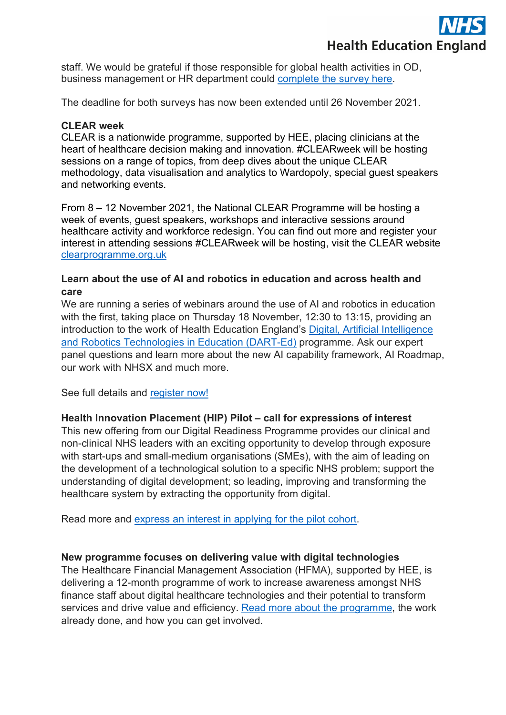

staff. We would be grateful if those responsible for global health activities in OD, business management or HR department could [complete the survey here.](https://www.sircsurveys.com/f/41570156/1253/)

The deadline for both surveys has now been extended until 26 November 2021.

#### **CLEAR week**

CLEAR is a nationwide programme, supported by HEE, placing clinicians at the heart of healthcare decision making and innovation. #CLEARweek will be hosting sessions on a range of topics, from deep dives about the unique CLEAR methodology, data visualisation and analytics to Wardopoly, special guest speakers and networking events.

From 8 – 12 November 2021, the National CLEAR Programme will be hosting a week of events, quest speakers, workshops and interactive sessions around healthcare activity and workforce redesign. You can find out more and register your interest in attending sessions #CLEARweek will be hosting, visit the CLEAR website [clearprogramme.org.uk](http://www.clearprogramme.org.uk/) 

#### **Learn about the use of AI and robotics in education and across health and care**

We are running a series of webinars around the use of AI and robotics in education with the first, taking place on Thursday 18 November, 12:30 to 13:15, providing an introduction to the work of Health Education England's [Digital, Artificial Intelligence](https://www.hee.nhs.uk/our-work/dart-ed)  [and Robotics Technologies in Education \(DART-Ed\)](https://www.hee.nhs.uk/our-work/dart-ed) programme. Ask our expert panel questions and learn more about the new AI capability framework, AI Roadmap, our work with NHSX and much more.

See full details and [register now!](https://healtheducationyh.onlinesurveys.ac.uk/webinar-darted-intro)

#### **Health Innovation Placement (HIP) Pilot – call for expressions of interest**

This new offering from our Digital Readiness Programme provides our clinical and non-clinical NHS leaders with an exciting opportunity to develop through exposure with start-ups and small-medium organisations (SMEs), with the aim of leading on the development of a technological solution to a specific NHS problem; support the understanding of digital development; so leading, improving and transforming the healthcare system by extracting the opportunity from digital.

Read more and [express an interest in applying for the pilot cohort.](https://www.hee.nhs.uk/our-work/building-digital-senior-leadership/health-innovation-placement-hip-pilot-opportunity)

#### **New programme focuses on delivering value with digital technologies**

The Healthcare Financial Management Association (HFMA), supported by HEE, is delivering a 12-month programme of work to increase awareness amongst NHS finance staff about digital healthcare technologies and their potential to transform services and drive value and efficiency. [Read more about the programme,](https://protect-eu.mimecast.com/s/1SrlCwKv9iVWVXJFVTpS8?domain=hfma.org.uk) the work already done, and how you can get involved.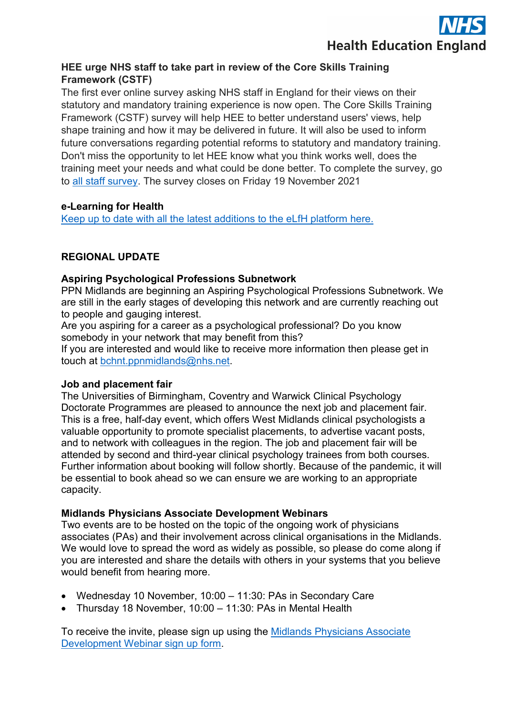

#### **HEE urge NHS staff to take part in review of the Core Skills Training Framework (CSTF)**

The first ever online survey asking NHS staff in England for their views on their statutory and mandatory training experience is now open. The Core Skills Training Framework (CSTF) survey will help HEE to better understand users' views, help shape training and how it may be delivered in future. It will also be used to inform future conversations regarding potential reforms to statutory and mandatory training. Don't miss the opportunity to let HEE know what you think works well, does the training meet your needs and what could be done better. To complete the survey, go to [all staff survey.](https://poll.hee.nhs.uk/s/MJZFYZ/) The survey closes on Friday 19 November 2021

#### **e-Learning for Health**

[Keep up to date with all the latest additions to the eLfH platform here.](https://www.e-lfh.org.uk/news/)

#### **REGIONAL UPDATE**

#### **Aspiring Psychological Professions Subnetwork**

PPN Midlands are beginning an Aspiring Psychological Professions Subnetwork. We are still in the early stages of developing this network and are currently reaching out to people and gauging interest.

Are you aspiring for a career as a psychological professional? Do you know somebody in your network that may benefit from this?

If you are interested and would like to receive more information then please get in touch at [bchnt.ppnmidlands@nhs.net.](mailto:bchnt.ppnmidlands@nhs.net)

#### **Job and placement fair**

The Universities of Birmingham, Coventry and Warwick Clinical Psychology Doctorate Programmes are pleased to announce the next job and placement fair. This is a free, half-day event, which offers West Midlands clinical psychologists a valuable opportunity to promote specialist placements, to advertise vacant posts, and to network with colleagues in the region. The job and placement fair will be attended by second and third-year clinical psychology trainees from both courses. Further information about booking will follow shortly. Because of the pandemic, it will be essential to book ahead so we can ensure we are working to an appropriate capacity.

#### **Midlands Physicians Associate Development Webinars**

Two events are to be hosted on the topic of the ongoing work of physicians associates (PAs) and their involvement across clinical organisations in the Midlands. We would love to spread the word as widely as possible, so please do come along if you are interested and share the details with others in your systems that you believe would benefit from hearing more.

- Wednesday 10 November, 10:00 11:30: PAs in Secondary Care
- Thursday 18 November, 10:00 11:30: PAs in Mental Health

To receive the invite, please sign up using the [Midlands Physicians Associate](https://healtheducationyh.onlinesurveys.ac.uk/midlands-physicians-associate-webinar-signup)  [Development Webinar sign up form.](https://healtheducationyh.onlinesurveys.ac.uk/midlands-physicians-associate-webinar-signup)